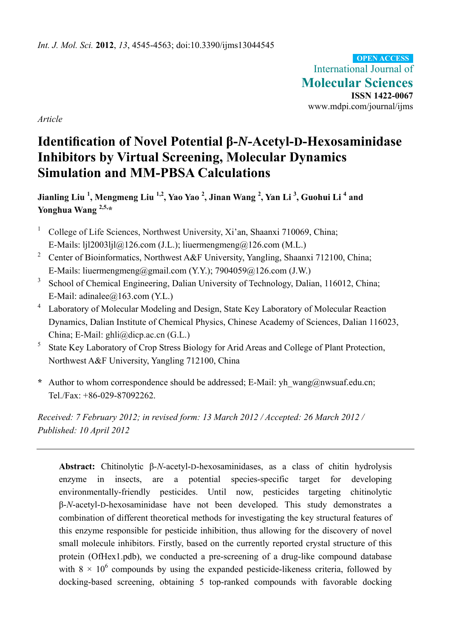International Journal of **Molecular Sciences ISSN 1422-0067**  www.mdpi.com/journal/ijms **OPEN ACCESS**

*Article* 

# **Identification of Novel Potential β-***N***-Acetyl-D-Hexosaminidase Inhibitors by Virtual Screening, Molecular Dynamics Simulation and MM-PBSA Calculations**

**Jianling Liu <sup>1</sup> , Mengmeng Liu 1,2, Yao Yao 2 , Jinan Wang <sup>2</sup> , Yan Li <sup>3</sup> , Guohui Li <sup>4</sup> and Yonghua Wang 2,5,\***

- 1 College of Life Sciences, Northwest University, Xi'an, Shaanxi 710069, China; E-Mails:  $[i]$ 12003 $[i]$  $(a)$ 126.com (J.L.); liuermengmeng $(a)$ 126.com (M.L.)
- <sup>2</sup> Center of Bioinformatics, Northwest A&F University, Yangling, Shaanxi 712100, China; E-Mails: liuermengmeng@gmail.com (Y.Y.); 7904059@126.com (J.W.)
- <sup>3</sup> School of Chemical Engineering, Dalian University of Technology, Dalian, 116012, China; E-Mail: adinalee $@163$ .com (Y.L.)
- 4 Laboratory of Molecular Modeling and Design, State Key Laboratory of Molecular Reaction Dynamics, Dalian Institute of Chemical Physics, Chinese Academy of Sciences, Dalian 116023, China; E-Mail: ghli@dicp.ac.cn (G.L.)
- 5 State Key Laboratory of Crop Stress Biology for Arid Areas and College of Plant Protection, Northwest A&F University, Yangling 712100, China
- **\*** Author to whom correspondence should be addressed; E-Mail: yh\_wang@nwsuaf.edu.cn; Tel./Fax: +86-029-87092262.

*Received: 7 February 2012; in revised form: 13 March 2012 / Accepted: 26 March 2012 / Published: 10 April 2012* 

**Abstract:** Chitinolytic β-*N*-acetyl-D-hexosaminidases, as a class of chitin hydrolysis enzyme in insects, are a potential species-specific target for developing environmentally-friendly pesticides. Until now, pesticides targeting chitinolytic β-*N*-acetyl-D-hexosaminidase have not been developed. This study demonstrates a combination of different theoretical methods for investigating the key structural features of this enzyme responsible for pesticide inhibition, thus allowing for the discovery of novel small molecule inhibitors. Firstly, based on the currently reported crystal structure of this protein (OfHex1.pdb), we conducted a pre-screening of a drug-like compound database with  $8 \times 10^6$  compounds by using the expanded pesticide-likeness criteria, followed by docking-based screening, obtaining 5 top-ranked compounds with favorable docking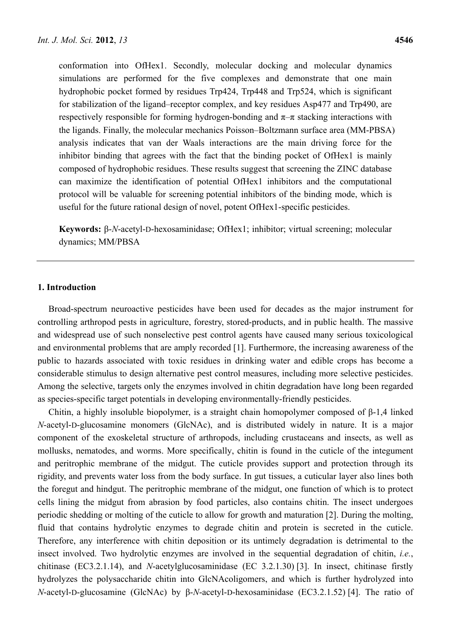conformation into OfHex1. Secondly, molecular docking and molecular dynamics simulations are performed for the five complexes and demonstrate that one main hydrophobic pocket formed by residues Trp424, Trp448 and Trp524, which is significant for stabilization of the ligand–receptor complex, and key residues Asp477 and Trp490, are respectively responsible for forming hydrogen-bonding and  $\pi-\pi$  stacking interactions with the ligands. Finally, the molecular mechanics Poisson–Boltzmann surface area (MM-PBSA) analysis indicates that van der Waals interactions are the main driving force for the inhibitor binding that agrees with the fact that the binding pocket of OfHex1 is mainly composed of hydrophobic residues. These results suggest that screening the ZINC database can maximize the identification of potential OfHex1 inhibitors and the computational protocol will be valuable for screening potential inhibitors of the binding mode, which is useful for the future rational design of novel, potent OfHex1-specific pesticides.

**Keywords:** β-*N*-acetyl-D-hexosaminidase; OfHex1; inhibitor; virtual screening; molecular dynamics; MM/PBSA

## **1. Introduction**

Broad-spectrum neuroactive pesticides have been used for decades as the major instrument for controlling arthropod pests in agriculture, forestry, stored-products, and in public health. The massive and widespread use of such nonselective pest control agents have caused many serious toxicological and environmental problems that are amply recorded [1]. Furthermore, the increasing awareness of the public to hazards associated with toxic residues in drinking water and edible crops has become a considerable stimulus to design alternative pest control measures, including more selective pesticides. Among the selective, targets only the enzymes involved in chitin degradation have long been regarded as species-specific target potentials in developing environmentally-friendly pesticides.

Chitin, a highly insoluble biopolymer, is a straight chain homopolymer composed of β-1,4 linked *N*-acetyl-D-glucosamine monomers (GlcNAc), and is distributed widely in nature. It is a major component of the exoskeletal structure of arthropods, including crustaceans and insects, as well as mollusks, nematodes, and worms. More specifically, chitin is found in the cuticle of the integument and peritrophic membrane of the midgut. The cuticle provides support and protection through its rigidity, and prevents water loss from the body surface. In gut tissues, a cuticular layer also lines both the foregut and hindgut. The peritrophic membrane of the midgut, one function of which is to protect cells lining the midgut from abrasion by food particles, also contains chitin. The insect undergoes periodic shedding or molting of the cuticle to allow for growth and maturation [2]. During the molting, fluid that contains hydrolytic enzymes to degrade chitin and protein is secreted in the cuticle. Therefore, any interference with chitin deposition or its untimely degradation is detrimental to the insect involved. Two hydrolytic enzymes are involved in the sequential degradation of chitin, *i.e.*, chitinase (EC3.2.1.14), and *N*-acetylglucosaminidase (EC 3.2.1.30) [3]. In insect, chitinase firstly hydrolyzes the polysaccharide chitin into GlcNAcoligomers, and which is further hydrolyzed into *N*-acetyl-D-glucosamine (GlcNAc) by β-*N*-acetyl-D-hexosaminidase (EC3.2.1.52) [4]. The ratio of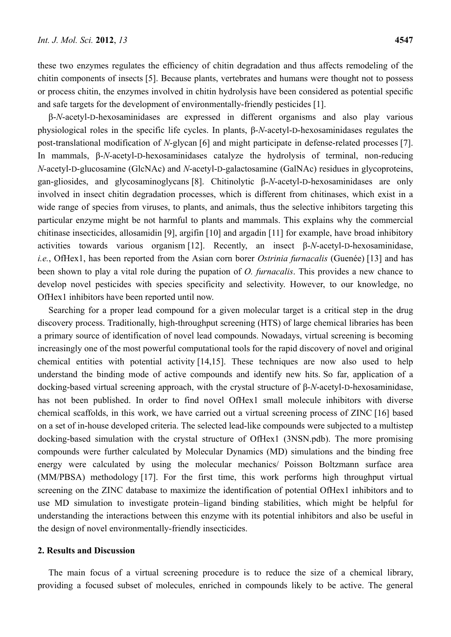these two enzymes regulates the efficiency of chitin degradation and thus affects remodeling of the chitin components of insects [5]. Because plants, vertebrates and humans were thought not to possess or process chitin, the enzymes involved in chitin hydrolysis have been considered as potential specific and safe targets for the development of environmentally-friendly pesticides [1].

β-*N*-acetyl-D-hexosaminidases are expressed in different organisms and also play various physiological roles in the specific life cycles. In plants, β-*N*-acetyl-D-hexosaminidases regulates the post-translational modification of *N*-glycan [6] and might participate in defense-related processes [7]. In mammals, β-*N*-acetyl-D-hexosaminidases catalyze the hydrolysis of terminal, non-reducing *N*-acetyl-D-glucosamine (GlcNAc) and *N*-acetyl-D-galactosamine (GalNAc) residues in glycoproteins, gan-gliosides, and glycosaminoglycans [8]. Chitinolytic β-*N*-acetyl-D-hexosaminidases are only involved in insect chitin degradation processes, which is different from chitinases, which exist in a wide range of species from viruses, to plants, and animals, thus the selective inhibitors targeting this particular enzyme might be not harmful to plants and mammals. This explains why the commercial chitinase insecticides, allosamidin [9], argifin [10] and argadin [11] for example, have broad inhibitory activities towards various organism [12]. Recently, an insect β-*N*-acetyl-D-hexosaminidase, *i.e.*, OfHex1, has been reported from the Asian corn borer *Ostrinia furnacalis* (Guenée) [13] and has been shown to play a vital role during the pupation of *O. furnacalis*. This provides a new chance to develop novel pesticides with species specificity and selectivity. However, to our knowledge, no OfHex1 inhibitors have been reported until now.

Searching for a proper lead compound for a given molecular target is a critical step in the drug discovery process. Traditionally, high-throughput screening (HTS) of large chemical libraries has been a primary source of identification of novel lead compounds. Nowadays, virtual screening is becoming increasingly one of the most powerful computational tools for the rapid discovery of novel and original chemical entities with potential activity [14,15]. These techniques are now also used to help understand the binding mode of active compounds and identify new hits. So far, application of a docking-based virtual screening approach, with the crystal structure of β-*N*-acetyl-D-hexosaminidase, has not been published. In order to find novel OfHex1 small molecule inhibitors with diverse chemical scaffolds, in this work, we have carried out a virtual screening process of ZINC [16] based on a set of in-house developed criteria. The selected lead-like compounds were subjected to a multistep docking-based simulation with the crystal structure of OfHex1 (3NSN.pdb). The more promising compounds were further calculated by Molecular Dynamics (MD) simulations and the binding free energy were calculated by using the molecular mechanics/ Poisson Boltzmann surface area (MM/PBSA) methodology [17]. For the first time, this work performs high throughput virtual screening on the ZINC database to maximize the identification of potential OfHex1 inhibitors and to use MD simulation to investigate protein–ligand binding stabilities, which might be helpful for understanding the interactions between this enzyme with its potential inhibitors and also be useful in the design of novel environmentally-friendly insecticides.

#### **2. Results and Discussion**

The main focus of a virtual screening procedure is to reduce the size of a chemical library, providing a focused subset of molecules, enriched in compounds likely to be active. The general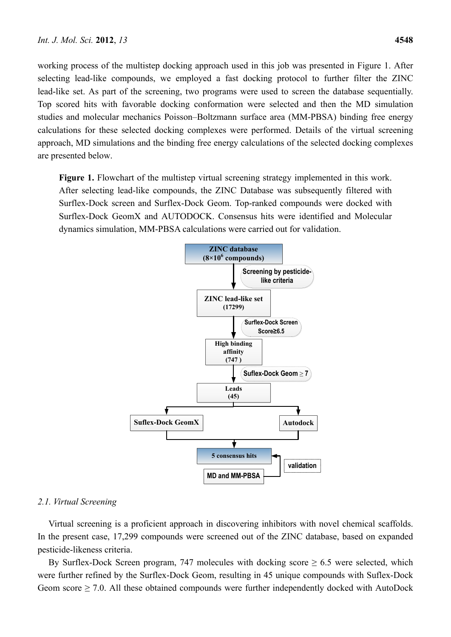working process of the multistep docking approach used in this job was presented in Figure 1. After selecting lead-like compounds, we employed a fast docking protocol to further filter the ZINC lead-like set. As part of the screening, two programs were used to screen the database sequentially. Top scored hits with favorable docking conformation were selected and then the MD simulation studies and molecular mechanics Poisson–Boltzmann surface area (MM-PBSA) binding free energy calculations for these selected docking complexes were performed. Details of the virtual screening approach, MD simulations and the binding free energy calculations of the selected docking complexes are presented below.

Figure 1. Flowchart of the multistep virtual screening strategy implemented in this work. After selecting lead-like compounds, the ZINC Database was subsequently filtered with Surflex-Dock screen and Surflex-Dock Geom. Top-ranked compounds were docked with Surflex-Dock GeomX and AUTODOCK. Consensus hits were identified and Molecular dynamics simulation, MM-PBSA calculations were carried out for validation.



# *2.1. Virtual Screening*

Virtual screening is a proficient approach in discovering inhibitors with novel chemical scaffolds. In the present case, 17,299 compounds were screened out of the ZINC database, based on expanded pesticide-likeness criteria.

By Surflex-Dock Screen program, 747 molecules with docking score  $\geq 6.5$  were selected, which were further refined by the Surflex-Dock Geom, resulting in 45 unique compounds with Suflex-Dock Geom score  $\geq$  7.0. All these obtained compounds were further independently docked with AutoDock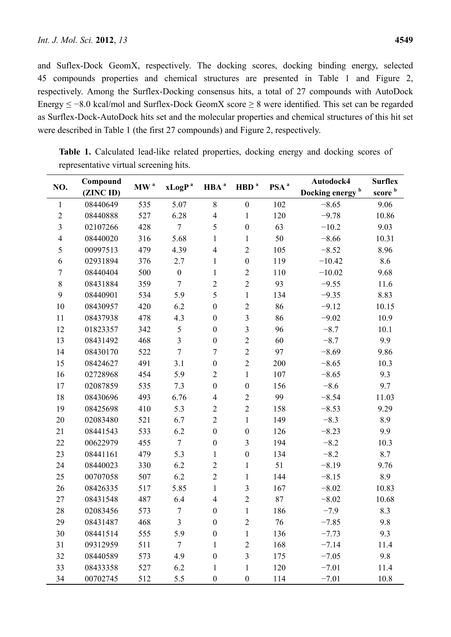and Suflex-Dock GeomX, respectively. The docking scores, docking binding energy, selected 45 compounds properties and chemical structures are presented in Table 1 and Figure 2, respectively. Among the Surflex-Docking consensus hits, a total of 27 compounds with AutoDock Energy ≤ −8.0 kcal/mol and Surflex-Dock GeomX score ≥ 8 were identified. This set can be regarded as Surflex-Dock-AutoDock hits set and the molecular properties and chemical structures of this hit set were described in Table 1 (the first 27 compounds) and Figure 2, respectively.

| NO.              | Compound<br>(ZINC ID) | MW <sup>a</sup> |                  | HBA <sup>a</sup>        | HBD <sup>a</sup>        | PSA <sup>a</sup> | Autodock4                   | <b>Surflex</b>     |
|------------------|-----------------------|-----------------|------------------|-------------------------|-------------------------|------------------|-----------------------------|--------------------|
|                  |                       |                 | $xLogP^a$        |                         |                         |                  | Docking energy <sup>b</sup> | score <sup>b</sup> |
| $\mathbf{1}$     | 08440649              | 535             | 5.07             | $8\,$                   | $\boldsymbol{0}$        | 102              | $-8.65$                     | 9.06               |
| $\overline{2}$   | 08440888              | 527             | 6.28             | $\overline{\mathbf{4}}$ | $\mathbf{1}$            | 120              | $-9.78$                     | 10.86              |
| $\mathfrak{Z}$   | 02107266              | 428             | $\tau$           | 5                       | $\boldsymbol{0}$        | 63               | $-10.2$                     | 9.03               |
| $\overline{4}$   | 08440020              | 316             | 5.68             | 1                       | $\mathbf{1}$            | 50               | $-8.66$                     | 10.31              |
| 5                | 00997513              | 479             | 4.39             | $\overline{\mathbf{4}}$ | $\overline{2}$          | 105              | $-8.52$                     | 8.96               |
| 6                | 02931894              | 376             | 2.7              | 1                       | $\boldsymbol{0}$        | 119              | $-10.42$                    | 8.6                |
| $\boldsymbol{7}$ | 08440404              | 500             | $\boldsymbol{0}$ | 1                       | $\sqrt{2}$              | 110              | $-10.02$                    | 9.68               |
| $\,$ $\,$        | 08431884              | 359             | $\tau$           | $\overline{c}$          | $\overline{2}$          | 93               | $-9.55$                     | 11.6               |
| 9                | 08440901              | 534             | 5.9              | 5                       | $\mathbf{1}$            | 134              | $-9.35$                     | 8.83               |
| 10               | 08430957              | 420             | 6.2              | $\boldsymbol{0}$        | $\overline{2}$          | 86               | $-9.12$                     | 10.15              |
| 11               | 08437938              | 478             | 4.3              | $\boldsymbol{0}$        | $\overline{\mathbf{3}}$ | 86               | $-9.02$                     | 10.9               |
| 12               | 01823357              | 342             | 5                | $\boldsymbol{0}$        | $\overline{3}$          | 96               | $-8.7$                      | 10.1               |
| 13               | 08431492              | 468             | $\overline{3}$   | $\boldsymbol{0}$        | $\overline{2}$          | 60               | $-8.7$                      | 9.9                |
| 14               | 08430170              | 522             | $\tau$           | $\overline{7}$          | $\overline{2}$          | 97               | $-8.69$                     | 9.86               |
| 15               | 08424627              | 491             | 3.1              | $\boldsymbol{0}$        | $\overline{2}$          | 200              | $-8.65$                     | 10.3               |
| 16               | 02728968              | 454             | 5.9              | $\overline{c}$          | $\mathbf{1}$            | 107              | $-8.65$                     | 9.3                |
| 17               | 02087859              | 535             | 7.3              | $\boldsymbol{0}$        | $\boldsymbol{0}$        | 156              | $-8.6$                      | 9.7                |
| 18               | 08430696              | 493             | 6.76             | $\overline{4}$          | $\sqrt{2}$              | 99               | $-8.54$                     | 11.03              |
| 19               | 08425698              | 410             | 5.3              | $\overline{2}$          | $\overline{2}$          | 158              | $-8.53$                     | 9.29               |
| 20               | 02083480              | 521             | 6.7              | $\overline{2}$          | $\mathbf{1}$            | 149              | $-8.3$                      | 8.9                |
| 21               | 08441543              | 533             | 6.2              | $\boldsymbol{0}$        | $\boldsymbol{0}$        | 126              | $-8.23$                     | 9.9                |
| 22               | 00622979              | 455             | $\overline{7}$   | $\boldsymbol{0}$        | $\mathfrak{Z}$          | 194              | $-8.2$                      | 10.3               |
| 23               | 08441161              | 479             | 5.3              | 1                       | $\boldsymbol{0}$        | 134              | $-8.2$                      | 8.7                |
| 24               | 08440023              | 330             | 6.2              | $\overline{2}$          | $\mathbf{1}$            | 51               | $-8.19$                     | 9.76               |
| 25               | 00707058              | 507             | 6.2              | $\overline{2}$          | $\mathbf{1}$            | 144              | $-8.15$                     | 8.9                |
| 26               | 08426335              | 517             | 5.85             | $\mathbf{1}$            | $\mathfrak{Z}$          | 167              | $-8.02$                     | 10.83              |
| 27               | 08431548              | 487             | 6.4              | $\overline{4}$          | $\overline{2}$          | 87               | $-8.02$                     | 10.68              |
| 28               | 02083456              | 573             | $\overline{7}$   | $\boldsymbol{0}$        | 1                       | 186              | $-7.9$                      | 8.3                |
| 29               | 08431487              | 468             | 3                | $\boldsymbol{0}$        | $\sqrt{2}$              | 76               | $-7.85$                     | 9.8                |
| 30               | 08441514              | 555             | 5.9              | $\boldsymbol{0}$        | $\mathbf{1}$            | 136              | $-7.73$                     | 9.3                |
| 31               | 09312959              | 511             | $\tau$           | 1                       | $\overline{2}$          | 168              | $-7.14$                     | 11.4               |
| 32               | 08440589              | 573             | 4.9              | $\boldsymbol{0}$        | $\overline{3}$          | 175              | $-7.05$                     | 9.8                |
| 33               | 08433358              | 527             | 6.2              | 1                       | $\mathbf{1}$            | 120              | $-7.01$                     | 11.4               |
| 34               | 00702745              | 512             | 5.5              | $\boldsymbol{0}$        | $\boldsymbol{0}$        | 114              | $-7.01$                     | 10.8               |

Table 1. Calculated lead-like related properties, docking energy and docking scores of representative virtual screening hits.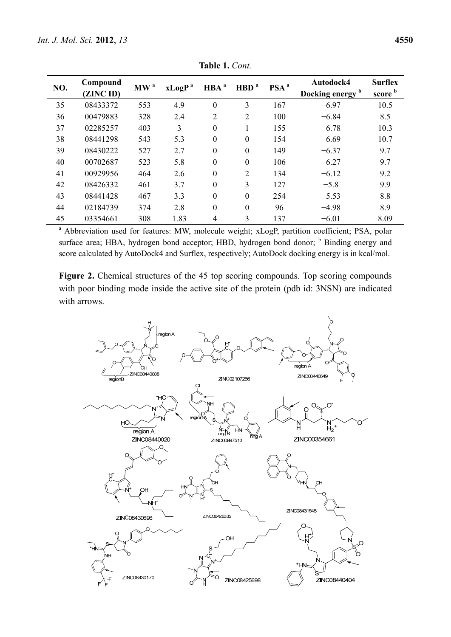| NO. | Compound<br>(ZINC ID) | MW <sup>a</sup> | xLogP <sup>a</sup> | HBA <sup>a</sup> | HBD <sup>a</sup> | PSA <sup>a</sup> | Autodock4<br>Docking energy <sup>b</sup> | <b>Surflex</b><br>score b |
|-----|-----------------------|-----------------|--------------------|------------------|------------------|------------------|------------------------------------------|---------------------------|
| 35  | 08433372              | 553             | 4.9                | $\mathbf{0}$     | 3                | 167              | $-6.97$                                  | 10.5                      |
| 36  | 00479883              | 328             | 2.4                | $\overline{2}$   | 2                | 100              | $-6.84$                                  | 8.5                       |
| 37  | 02285257              | 403             | 3                  | $\boldsymbol{0}$ |                  | 155              | $-6.78$                                  | 10.3                      |
| 38  | 08441298              | 543             | 5.3                | $\boldsymbol{0}$ | $\theta$         | 154              | $-6.69$                                  | 10.7                      |
| 39  | 08430222              | 527             | 2.7                | $\mathbf{0}$     | $\theta$         | 149              | $-6.37$                                  | 9.7                       |
| 40  | 00702687              | 523             | 5.8                | $\theta$         | $\Omega$         | 106              | $-6.27$                                  | 9.7                       |
| 41  | 00929956              | 464             | 2.6                | $\boldsymbol{0}$ | 2                | 134              | $-6.12$                                  | 9.2                       |
| 42  | 08426332              | 461             | 3.7                | $\mathbf{0}$     | 3                | 127              | $-5.8$                                   | 9.9                       |
| 43  | 08441428              | 467             | 3.3                | $\theta$         | $\theta$         | 254              | $-5.53$                                  | 8.8                       |
| 44  | 02184739              | 374             | 2.8                | $\boldsymbol{0}$ | $\theta$         | 96               | $-4.98$                                  | 8.9                       |
| 45  | 03354661              | 308             | 1.83               | $\overline{4}$   | 3                | 137              | $-6.01$                                  | 8.09                      |

**Table 1.** *Cont.*

<sup>a</sup> Abbreviation used for features: MW, molecule weight; xLogP, partition coefficient; PSA, polar surface area; HBA, hydrogen bond acceptor; HBD, hydrogen bond donor; <sup>b</sup> Binding energy and score calculated by AutoDock4 and Surflex, respectively; AutoDock docking energy is in kcal/mol.

**Figure 2.** Chemical structures of the 45 top scoring compounds. Top scoring compounds with poor binding mode inside the active site of the protein (pdb id: 3NSN) are indicated with arrows.

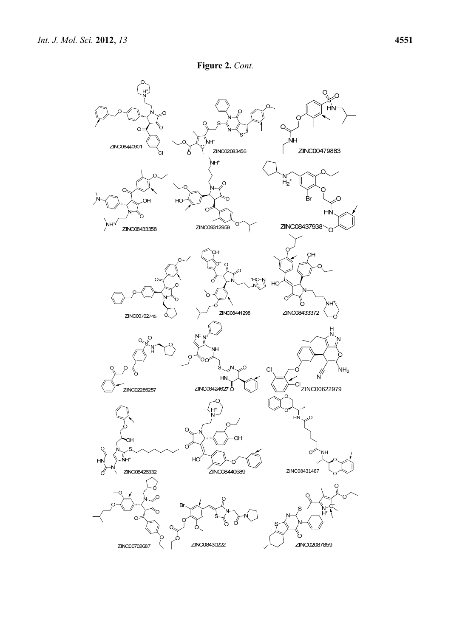

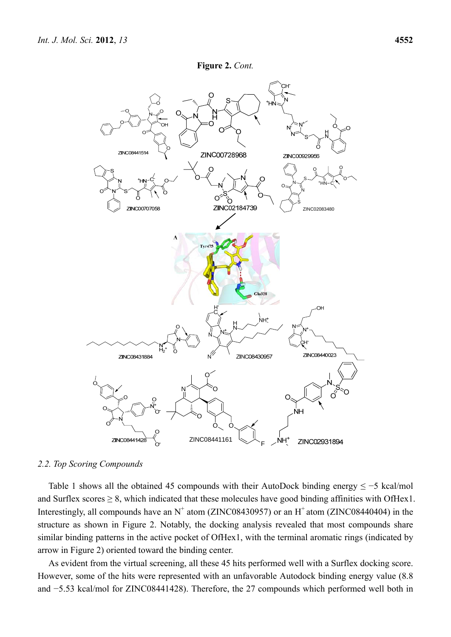

#### *2.2. Top Scoring Compounds*

Table 1 shows all the obtained 45 compounds with their AutoDock binding energy  $\leq -5$  kcal/mol and Surflex scores  $\geq 8$ , which indicated that these molecules have good binding affinities with OfHex1. Interestingly, all compounds have an  $N^+$  atom (ZINC08430957) or an  $H^+$  atom (ZINC08440404) in the structure as shown in Figure 2. Notably, the docking analysis revealed that most compounds share similar binding patterns in the active pocket of OfHex1, with the terminal aromatic rings (indicated by arrow in Figure 2) oriented toward the binding center.

As evident from the virtual screening, all these 45 hits performed well with a Surflex docking score. However, some of the hits were represented with an unfavorable Autodock binding energy value (8.8 and −5.53 kcal/mol for ZINC08441428). Therefore, the 27 compounds which performed well both in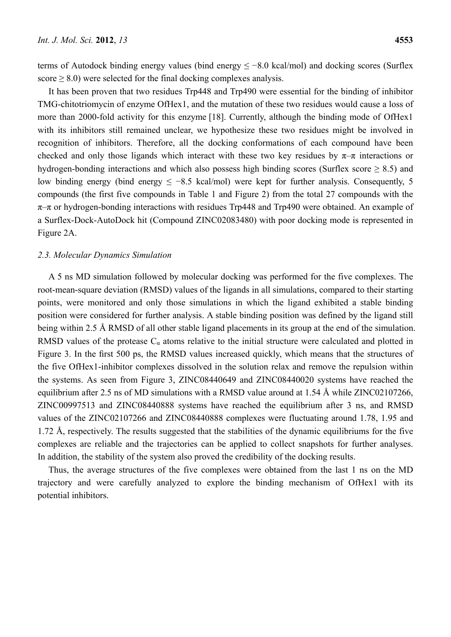terms of Autodock binding energy values (bind energy ≤ −8.0 kcal/mol) and docking scores (Surflex score  $\geq$  8.0) were selected for the final docking complexes analysis.

It has been proven that two residues Trp448 and Trp490 were essential for the binding of inhibitor TMG-chitotriomycin of enzyme OfHex1, and the mutation of these two residues would cause a loss of more than 2000-fold activity for this enzyme [18]. Currently, although the binding mode of OfHex1 with its inhibitors still remained unclear, we hypothesize these two residues might be involved in recognition of inhibitors. Therefore, all the docking conformations of each compound have been checked and only those ligands which interact with these two key residues by  $\pi-\pi$  interactions or hydrogen-bonding interactions and which also possess high binding scores (Surflex score  $\geq 8.5$ ) and low binding energy (bind energy  $\le -8.5$  kcal/mol) were kept for further analysis. Consequently, 5 compounds (the first five compounds in Table 1 and Figure 2) from the total 27 compounds with the  $\pi$ – $\pi$  or hydrogen-bonding interactions with residues Trp448 and Trp490 were obtained. An example of a Surflex-Dock-AutoDock hit (Compound ZINC02083480) with poor docking mode is represented in Figure 2A.

## *2.3. Molecular Dynamics Simulation*

A 5 ns MD simulation followed by molecular docking was performed for the five complexes. The root-mean-square deviation (RMSD) values of the ligands in all simulations, compared to their starting points, were monitored and only those simulations in which the ligand exhibited a stable binding position were considered for further analysis. A stable binding position was defined by the ligand still being within 2.5 Å RMSD of all other stable ligand placements in its group at the end of the simulation. RMSD values of the protease  $C_{\alpha}$  atoms relative to the initial structure were calculated and plotted in Figure 3. In the first 500 ps, the RMSD values increased quickly, which means that the structures of the five OfHex1-inhibitor complexes dissolved in the solution relax and remove the repulsion within the systems. As seen from Figure 3, ZINC08440649 and ZINC08440020 systems have reached the equilibrium after 2.5 ns of MD simulations with a RMSD value around at 1.54 Å while ZINC02107266, ZINC00997513 and ZINC08440888 systems have reached the equilibrium after 3 ns, and RMSD values of the ZINC02107266 and ZINC08440888 complexes were fluctuating around 1.78, 1.95 and 1.72 Å, respectively. The results suggested that the stabilities of the dynamic equilibriums for the five complexes are reliable and the trajectories can be applied to collect snapshots for further analyses. In addition, the stability of the system also proved the credibility of the docking results.

Thus, the average structures of the five complexes were obtained from the last 1 ns on the MD trajectory and were carefully analyzed to explore the binding mechanism of OfHex1 with its potential inhibitors.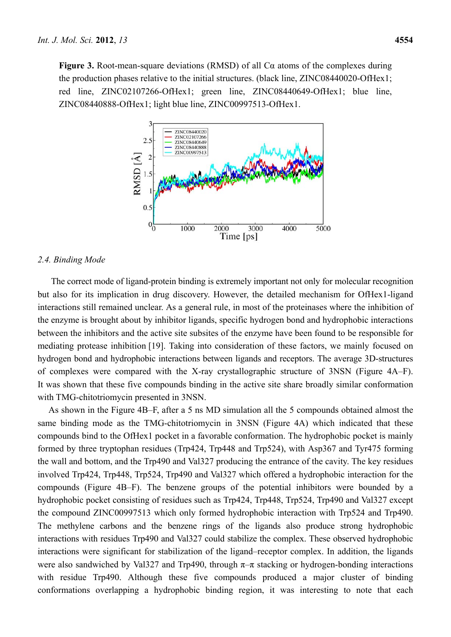**Figure 3.** Root-mean-square deviations (RMSD) of all Cα atoms of the complexes during the production phases relative to the initial structures. (black line, ZINC08440020-OfHex1; red line, ZINC02107266-OfHex1; green line, ZINC08440649-OfHex1; blue line, ZINC08440888-OfHex1; light blue line, ZINC00997513-OfHex1.



#### *2.4. Binding Mode*

The correct mode of ligand-protein binding is extremely important not only for molecular recognition but also for its implication in drug discovery. However, the detailed mechanism for OfHex1-ligand interactions still remained unclear. As a general rule, in most of the proteinases where the inhibition of the enzyme is brought about by inhibitor ligands, specific hydrogen bond and hydrophobic interactions between the inhibitors and the active site subsites of the enzyme have been found to be responsible for mediating protease inhibition [19]. Taking into consideration of these factors, we mainly focused on hydrogen bond and hydrophobic interactions between ligands and receptors. The average 3D-structures of complexes were compared with the X-ray crystallographic structure of 3NSN (Figure 4A–F). It was shown that these five compounds binding in the active site share broadly similar conformation with TMG-chitotriomycin presented in 3NSN.

As shown in the Figure 4B–F, after a 5 ns MD simulation all the 5 compounds obtained almost the same binding mode as the TMG-chitotriomycin in 3NSN (Figure 4A) which indicated that these compounds bind to the OfHex1 pocket in a favorable conformation. The hydrophobic pocket is mainly formed by three tryptophan residues (Trp424, Trp448 and Trp524), with Asp367 and Tyr475 forming the wall and bottom, and the Trp490 and Val327 producing the entrance of the cavity. The key residues involved Trp424, Trp448, Trp524, Trp490 and Val327 which offered a hydrophobic interaction for the compounds (Figure 4B–F). The benzene groups of the potential inhibitors were bounded by a hydrophobic pocket consisting of residues such as Trp424, Trp448, Trp524, Trp490 and Val327 except the compound ZINC00997513 which only formed hydrophobic interaction with Trp524 and Trp490. The methylene carbons and the benzene rings of the ligands also produce strong hydrophobic interactions with residues Trp490 and Val327 could stabilize the complex. These observed hydrophobic interactions were significant for stabilization of the ligand–receptor complex. In addition, the ligands were also sandwiched by Val327 and Trp490, through  $\pi-\pi$  stacking or hydrogen-bonding interactions with residue Trp490. Although these five compounds produced a major cluster of binding conformations overlapping a hydrophobic binding region, it was interesting to note that each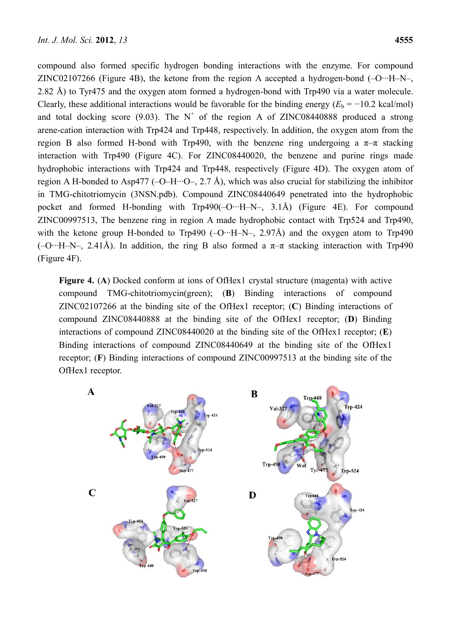compound also formed specific hydrogen bonding interactions with the enzyme. For compound ZINC02107266 (Figure 4B), the ketone from the region A accepted a hydrogen-bond  $(-O^{-1}H-N)$ 2.82 Å) to Tyr475 and the oxygen atom formed a hydrogen-bond with Trp490 via a water molecule. Clearly, these additional interactions would be favorable for the binding energy  $(E_b = -10.2 \text{ kcal/mol})$ and total docking score (9.03). The  $N^+$  of the region A of ZINC08440888 produced a strong arene-cation interaction with Trp424 and Trp448, respectively. In addition, the oxygen atom from the region B also formed H-bond with Trp490, with the benzene ring undergoing a  $π$ -π stacking interaction with Trp490 (Figure 4C). For ZINC08440020, the benzene and purine rings made hydrophobic interactions with Trp424 and Trp448, respectively (Figure 4D). The oxygen atom of region A H-bonded to Asp477 (-O–H···O–, 2.7 Å), which was also crucial for stabilizing the inhibitor in TMG-chitotriomycin (3NSN.pdb). Compound ZINC08440649 penetrated into the hydrophobic pocket and formed H-bonding with Trp490(–O···H–N–, 3.1Å) (Figure 4E). For compound ZINC00997513, The benzene ring in region A made hydrophobic contact with Trp524 and Trp490, with the ketone group H-bonded to Trp490  $(-O^{-1}H-N-1)$ , 2.97Å) and the oxygen atom to Trp490  $(-O \cdot H-N-$ , 2.41Å). In addition, the ring B also formed a  $\pi-\pi$  stacking interaction with Trp490 (Figure 4F).

**Figure 4.** (**A**) Docked conform at ions of OfHex1 crystal structure (magenta) with active compound TMG-chitotriomycin(green); (**B**) Binding interactions of compound ZINC02107266 at the binding site of the OfHex1 receptor; (**C**) Binding interactions of compound ZINC08440888 at the binding site of the OfHex1 receptor; (**D**) Binding interactions of compound ZINC08440020 at the binding site of the OfHex1 receptor; (**E**) Binding interactions of compound ZINC08440649 at the binding site of the OfHex1 receptor; (**F**) Binding interactions of compound ZINC00997513 at the binding site of the OfHex1 receptor.

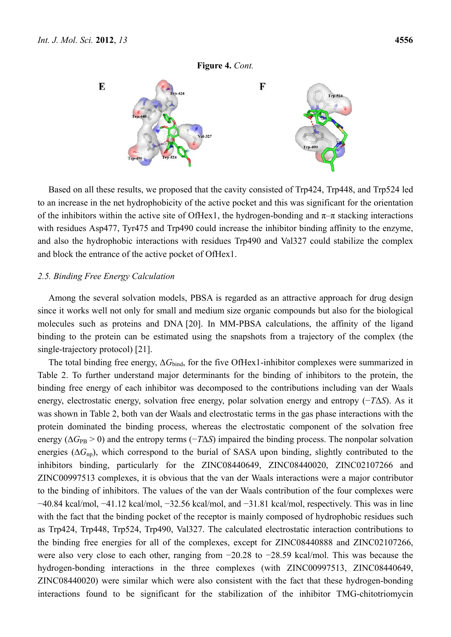

Based on all these results, we proposed that the cavity consisted of Trp424, Trp448, and Trp524 led to an increase in the net hydrophobicity of the active pocket and this was significant for the orientation of the inhibitors within the active site of OfHex1, the hydrogen-bonding and  $\pi-\pi$  stacking interactions with residues Asp477, Tyr475 and Trp490 could increase the inhibitor binding affinity to the enzyme, and also the hydrophobic interactions with residues Trp490 and Val327 could stabilize the complex and block the entrance of the active pocket of OfHex1.

### *2.5. Binding Free Energy Calculation*

Among the several solvation models, PBSA is regarded as an attractive approach for drug design since it works well not only for small and medium size organic compounds but also for the biological molecules such as proteins and DNA [20]. In MM-PBSA calculations, the affinity of the ligand binding to the protein can be estimated using the snapshots from a trajectory of the complex (the single-trajectory protocol) [21].

The total binding free energy, Δ*G*bind, for the five OfHex1-inhibitor complexes were summarized in Table 2. To further understand major determinants for the binding of inhibitors to the protein, the binding free energy of each inhibitor was decomposed to the contributions including van der Waals energy, electrostatic energy, solvation free energy, polar solvation energy and entropy (−*T*Δ*S*). As it was shown in Table 2, both van der Waals and electrostatic terms in the gas phase interactions with the protein dominated the binding process, whereas the electrostatic component of the solvation free energy ( $\Delta G_{\rm PB} > 0$ ) and the entropy terms ( $-T\Delta S$ ) impaired the binding process. The nonpolar solvation energies (∆*G*np), which correspond to the burial of SASA upon binding, slightly contributed to the inhibitors binding, particularly for the ZINC08440649, ZINC08440020, ZINC02107266 and ZINC00997513 complexes, it is obvious that the van der Waals interactions were a major contributor to the binding of inhibitors. The values of the van der Waals contribution of the four complexes were −40.84 kcal/mol, −41.12 kcal/mol, −32.56 kcal/mol, and −31.81 kcal/mol, respectively. This was in line with the fact that the binding pocket of the receptor is mainly composed of hydrophobic residues such as Trp424, Trp448, Trp524, Trp490, Val327. The calculated electrostatic interaction contributions to the binding free energies for all of the complexes, except for ZINC08440888 and ZINC02107266, were also very close to each other, ranging from −20.28 to −28.59 kcal/mol. This was because the hydrogen-bonding interactions in the three complexes (with ZINC00997513, ZINC08440649, ZINC08440020) were similar which were also consistent with the fact that these hydrogen-bonding interactions found to be significant for the stabilization of the inhibitor TMG-chitotriomycin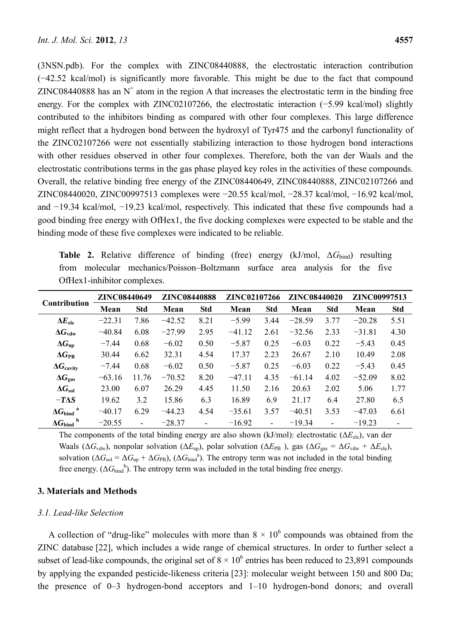(3NSN.pdb). For the complex with ZINC08440888, the electrostatic interaction contribution (−42.52 kcal/mol) is significantly more favorable. This might be due to the fact that compound ZINC08440888 has an  $N^+$  atom in the region A that increases the electrostatic term in the binding free energy. For the complex with ZINC02107266, the electrostatic interaction (−5.99 kcal/mol) slightly contributed to the inhibitors binding as compared with other four complexes. This large difference might reflect that a hydrogen bond between the hydroxyl of Tyr475 and the carbonyl functionality of the ZINC02107266 were not essentially stabilizing interaction to those hydrogen bond interactions with other residues observed in other four complexes. Therefore, both the van der Waals and the electrostatic contributions terms in the gas phase played key roles in the activities of these compounds. Overall, the relative binding free energy of the ZINC08440649, ZINC08440888, ZINC02107266 and ZINC08440020, ZINC00997513 complexes were −20.55 kcal/mol, −28.37 kcal/mol, −16.92 kcal/mol, and −19.34 kcal/mol, −19.23 kcal/mol, respectively. This indicated that these five compounds had a good binding free energy with OfHex1, the five docking complexes were expected to be stable and the binding mode of these five complexes were indicated to be reliable.

Table 2. Relative difference of binding (free) energy (kJ/mol, ΔG<sub>bind</sub>) resulting from molecular mechanics/Poisson–Boltzmann surface area analysis for the five OfHex1-inhibitor complexes.

|                                    | <b>ZINC08440649</b> |                | <b>ZINC08440888</b> |            | <b>ZINC02107266</b> |                | <b>ZINC08440020</b> |                          | ZINC00997513 |            |
|------------------------------------|---------------------|----------------|---------------------|------------|---------------------|----------------|---------------------|--------------------------|--------------|------------|
| <b>Contribution</b>                | Mean                | <b>Std</b>     | Mean                | <b>Std</b> | Mean                | <b>Std</b>     | Mean                | <b>Std</b>               | Mean         | <b>Std</b> |
| $\Delta E_{\text{ele}}$            | $-22.31$            | 7.86           | $-42.52$            | 8.21       | $-5.99$             | 3.44           | $-28.59$            | 3.77                     | $-20.28$     | 5.51       |
| $\Delta G_{\text{vdw}}$            | $-40.84$            | 6.08           | $-27.99$            | 2.95       | $-41.12$            | 2.61           | $-32.56$            | 2.33                     | $-31.81$     | 4.30       |
| $\Delta G_{\rm np}$                | $-7.44$             | 0.68           | $-6.02$             | 0.50       | $-5.87$             | 0.25           | $-6.03$             | 0.22                     | $-5.43$      | 0.45       |
| $\Delta G_{\rm PR}$                | 30.44               | 6.62           | 32.31               | 4.54       | 17.37               | 2.23           | 26.67               | 2.10                     | 10.49        | 2.08       |
| $\Delta G_{\text{cavity}}$         | $-7.44$             | 0.68           | $-6.02$             | 0.50       | $-5.87$             | 0.25           | $-6.03$             | 0.22                     | $-5.43$      | 0.45       |
| $\Delta G_{\rm gas}$               | $-63.16$            | 11.76          | $-70.52$            | 8.20       | $-47.11$            | 4.35           | $-61.14$            | 4.02                     | $-52.09$     | 8.02       |
| $\Delta G_{\rm sol}$               | 23.00               | 6.07           | 26.29               | 4.45       | 11.50               | 2.16           | 20.63               | 2.02                     | 5.06         | 1.77       |
| $-T\Lambda S$                      | 19.62               | 3.2            | 15.86               | 6.3        | 16.89               | 6.9            | 21.17               | 6.4                      | 27.80        | 6.5        |
| $\Delta G_{\rm bind}$ <sup>a</sup> | $-40.17$            | 6.29           | $-44.23$            | 4.54       | $-35.61$            | 3.57           | $-40.51$            | 3.53                     | $-47.03$     | 6.61       |
| b<br>$\Delta G_\mathrm{bind}$      | $-20.55$            | $\blacksquare$ | $-28.37$            | ۰          | $-16.92$            | $\blacksquare$ | $-19.34$            | $\overline{\phantom{a}}$ | $-19.23$     |            |

The components of the total binding energy are also shown (kJ/mol): electrostatic (Δ*E*ele), van der Waals ( $\Delta G_{\text{vdw}}$ ), nonpolar solvation ( $\Delta E_{\text{np}}$ ), polar solvation ( $\Delta E_{\text{PB}}$ ), gas ( $\Delta G_{\text{gas}} = \Delta G_{\text{vdw}} + \Delta E_{\text{ele}}$ ), solvation ( $\Delta G_{sol} = \Delta G_{np} + \Delta G_{PB}$ ), ( $\Delta G_{bind}^{a}$ ). The entropy term was not included in the total binding free energy.  $(\Delta G_{\text{bind}}^b)$ . The entropy term was included in the total binding free energy.

## **3. Materials and Methods**

## *3.1. Lead-like Selection*

A collection of "drug-like" molecules with more than  $8 \times 10^6$  compounds was obtained from the ZINC database [22], which includes a wide range of chemical structures. In order to further select a subset of lead-like compounds, the original set of  $8 \times 10^6$  entries has been reduced to 23,891 compounds by applying the expanded pesticide-likeness criteria [23]: molecular weight between 150 and 800 Da; the presence of 0–3 hydrogen-bond acceptors and 1–10 hydrogen-bond donors; and overall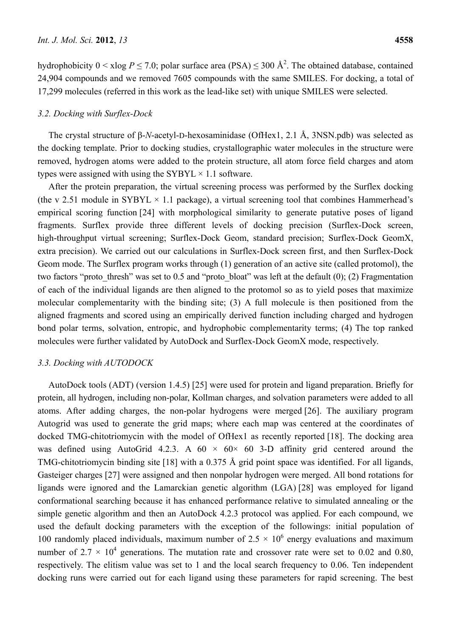hydrophobicity  $0 < x \log P \le 7.0$ ; polar surface area (PSA)  $\le 300 \text{ Å}^2$ . The obtained database, contained 24,904 compounds and we removed 7605 compounds with the same SMILES. For docking, a total of 17,299 molecules (referred in this work as the lead-like set) with unique SMILES were selected.

## *3.2. Docking with Surflex-Dock*

The crystal structure of β-*N*-acetyl-D-hexosaminidase (OfHex1, 2.1 Å, 3NSN.pdb) was selected as the docking template. Prior to docking studies, crystallographic water molecules in the structure were removed, hydrogen atoms were added to the protein structure, all atom force field charges and atom types were assigned with using the SYBYL  $\times$  1.1 software.

After the protein preparation, the virtual screening process was performed by the Surflex docking (the v 2.51 module in SYBYL  $\times$  1.1 package), a virtual screening tool that combines Hammerhead's empirical scoring function [24] with morphological similarity to generate putative poses of ligand fragments. Surflex provide three different levels of docking precision (Surflex-Dock screen, high-throughput virtual screening; Surflex-Dock Geom, standard precision; Surflex-Dock GeomX, extra precision). We carried out our calculations in Surflex-Dock screen first, and then Surflex-Dock Geom mode. The Surflex program works through (1) generation of an active site (called protomol), the two factors "proto thresh" was set to 0.5 and "proto bloat" was left at the default  $(0)$ ; (2) Fragmentation of each of the individual ligands are then aligned to the protomol so as to yield poses that maximize molecular complementarity with the binding site; (3) A full molecule is then positioned from the aligned fragments and scored using an empirically derived function including charged and hydrogen bond polar terms, solvation, entropic, and hydrophobic complementarity terms; (4) The top ranked molecules were further validated by AutoDock and Surflex-Dock GeomX mode, respectively.

#### *3.3. Docking with AUTODOCK*

AutoDock tools (ADT) (version 1.4.5) [25] were used for protein and ligand preparation. Briefly for protein, all hydrogen, including non-polar, Kollman charges, and solvation parameters were added to all atoms. After adding charges, the non-polar hydrogens were merged [26]. The auxiliary program Autogrid was used to generate the grid maps; where each map was centered at the coordinates of docked TMG-chitotriomycin with the model of OfHex1 as recently reported [18]. The docking area was defined using AutoGrid 4.2.3. A  $60 \times 60 \times 60$  3-D affinity grid centered around the TMG-chitotriomycin binding site [18] with a 0.375 Å grid point space was identified. For all ligands, Gasteiger charges [27] were assigned and then nonpolar hydrogen were merged. All bond rotations for ligands were ignored and the Lamarckian genetic algorithm (LGA) [28] was employed for ligand conformational searching because it has enhanced performance relative to simulated annealing or the simple genetic algorithm and then an AutoDock 4.2.3 protocol was applied. For each compound, we used the default docking parameters with the exception of the followings: initial population of 100 randomly placed individuals, maximum number of  $2.5 \times 10^6$  energy evaluations and maximum number of 2.7  $\times$  10<sup>4</sup> generations. The mutation rate and crossover rate were set to 0.02 and 0.80, respectively. The elitism value was set to 1 and the local search frequency to 0.06. Ten independent docking runs were carried out for each ligand using these parameters for rapid screening. The best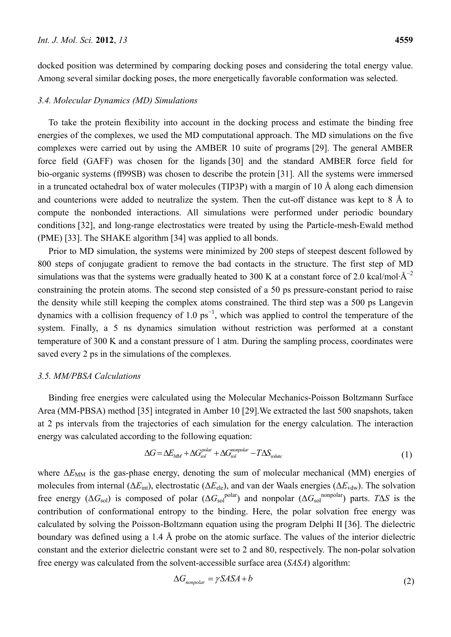docked position was determined by comparing docking poses and considering the total energy value. Among several similar docking poses, the more energetically favorable conformation was selected.

### *3.4. Molecular Dynamics (MD) Simulations*

To take the protein flexibility into account in the docking process and estimate the binding free energies of the complexes, we used the MD computational approach. The MD simulations on the five complexes were carried out by using the AMBER 10 suite of programs [29]. The general AMBER force field (GAFF) was chosen for the ligands [30] and the standard AMBER force field for bio-organic systems (ff99SB) was chosen to describe the protein [31]. All the systems were immersed in a truncated octahedral box of water molecules (TIP3P) with a margin of 10 Å along each dimension and counterions were added to neutralize the system. Then the cut-off distance was kept to 8 Å to compute the nonbonded interactions. All simulations were performed under periodic boundary conditions [32], and long-range electrostatics were treated by using the Particle-mesh-Ewald method (PME) [33]. The SHAKE algorithm [34] was applied to all bonds.

Prior to MD simulation, the systems were minimized by 200 steps of steepest descent followed by 800 steps of conjugate gradient to remove the bad contacts in the structure. The first step of MD simulations was that the systems were gradually heated to 300 K at a constant force of 2.0 kcal/mol· $\AA^{-2}$ constraining the protein atoms. The second step consisted of a 50 ps pressure-constant period to raise the density while still keeping the complex atoms constrained. The third step was a 500 ps Langevin dynamics with a collision frequency of 1.0  $ps^{-1}$ , which was applied to control the temperature of the system. Finally, a 5 ns dynamics simulation without restriction was performed at a constant temperature of 300 K and a constant pressure of 1 atm. During the sampling process, coordinates were saved every 2 ps in the simulations of the complexes.

## *3.5. MM/PBSA Calculations*

Binding free energies were calculated using the Molecular Mechanics-Poisson Boltzmann Surface Area (MM-PBSA) method [35] integrated in Amber 10 [29].We extracted the last 500 snapshots, taken at 2 ps intervals from the trajectories of each simulation for the energy calculation. The interaction energy was calculated according to the following equation:

$$
\Delta G = \Delta E_{MM} + \Delta G_{sol}^{polar} + \Delta G_{sol}^{nonpolar} - T\Delta S_{solue}
$$
\n(1)

where  $\Delta E_{\text{MM}}$  is the gas-phase energy, denoting the sum of molecular mechanical (MM) energies of molecules from internal ( $\Delta E_{\text{int}}$ ), electrostatic ( $\Delta E_{\text{ele}}$ ), and van der Waals energies ( $\Delta E_{\text{vdw}}$ ). The solvation free energy ( $\Delta G_{sol}$ ) is composed of polar ( $\Delta G_{sol}$ <sup>polar</sup>) and nonpolar ( $\Delta G_{sol}$ <sup>nonpolar</sup>) parts. *T*Δ*S* is the contribution of conformational entropy to the binding. Here, the polar solvation free energy was calculated by solving the Poisson-Boltzmann equation using the program Delphi II [36]. The dielectric boundary was defined using a 1.4 Å probe on the atomic surface. The values of the interior dielectric constant and the exterior dielectric constant were set to 2 and 80, respectively. The non-polar solvation free energy was calculated from the solvent-accessible surface area (*SASA*) algorithm:

$$
\Delta G_{nonpolar} = \gamma SASA + b \tag{2}
$$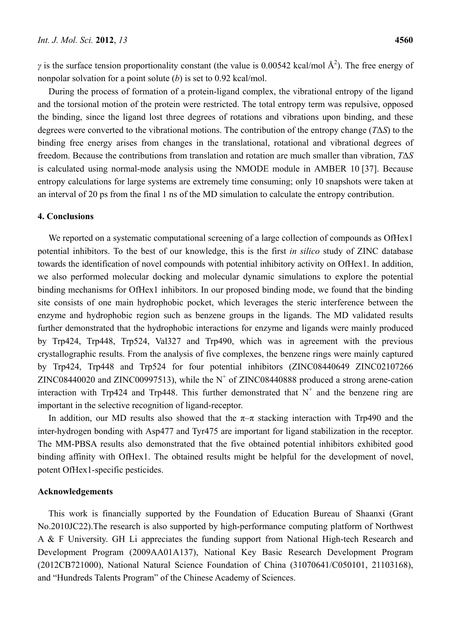*γ* is the surface tension proportionality constant (the value is 0.00542 kcal/mol  $\AA^2$ ). The free energy of nonpolar solvation for a point solute (*b*) is set to 0.92 kcal/mol.

During the process of formation of a protein-ligand complex, the vibrational entropy of the ligand and the torsional motion of the protein were restricted. The total entropy term was repulsive, opposed the binding, since the ligand lost three degrees of rotations and vibrations upon binding, and these degrees were converted to the vibrational motions. The contribution of the entropy change (*T*Δ*S*) to the binding free energy arises from changes in the translational, rotational and vibrational degrees of freedom. Because the contributions from translation and rotation are much smaller than vibration, *T*Δ*S* is calculated using normal-mode analysis using the NMODE module in AMBER 10 [37]. Because entropy calculations for large systems are extremely time consuming; only 10 snapshots were taken at an interval of 20 ps from the final 1 ns of the MD simulation to calculate the entropy contribution.

## **4. Conclusions**

We reported on a systematic computational screening of a large collection of compounds as OfHex1 potential inhibitors. To the best of our knowledge, this is the first *in silico* study of ZINC database towards the identification of novel compounds with potential inhibitory activity on OfHex1. In addition, we also performed molecular docking and molecular dynamic simulations to explore the potential binding mechanisms for OfHex1 inhibitors. In our proposed binding mode, we found that the binding site consists of one main hydrophobic pocket, which leverages the steric interference between the enzyme and hydrophobic region such as benzene groups in the ligands. The MD validated results further demonstrated that the hydrophobic interactions for enzyme and ligands were mainly produced by Trp424, Trp448, Trp524, Val327 and Trp490, which was in agreement with the previous crystallographic results. From the analysis of five complexes, the benzene rings were mainly captured by Trp424, Trp448 and Trp524 for four potential inhibitors (ZINC08440649 ZINC02107266 ZINC08440020 and ZINC00997513), while the  $N^{+}$  of ZINC08440888 produced a strong arene-cation interaction with Trp424 and Trp448. This further demonstrated that  $N^+$  and the benzene ring are important in the selective recognition of ligand-receptor.

In addition, our MD results also showed that the  $\pi-\pi$  stacking interaction with Trp490 and the inter-hydrogen bonding with Asp477 and Tyr475 are important for ligand stabilization in the receptor. The MM-PBSA results also demonstrated that the five obtained potential inhibitors exhibited good binding affinity with OfHex1. The obtained results might be helpful for the development of novel, potent OfHex1-specific pesticides.

## **Acknowledgements**

This work is financially supported by the Foundation of Education Bureau of Shaanxi (Grant No.2010JC22).The research is also supported by high-performance computing platform of Northwest A & F University. GH Li appreciates the funding support from National High-tech Research and Development Program (2009AA01A137), National Key Basic Research Development Program (2012CB721000), National Natural Science Foundation of China (31070641/C050101, 21103168), and "Hundreds Talents Program" of the Chinese Academy of Sciences.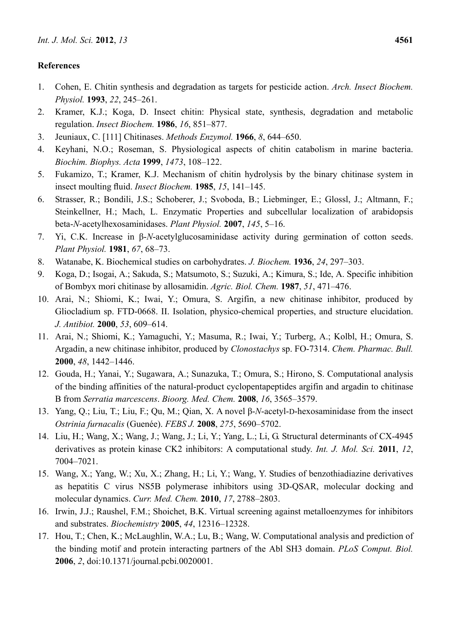# **References**

- 1. Cohen, E. Chitin synthesis and degradation as targets for pesticide action. *Arch. Insect Biochem. Physiol.* **1993**, *22*, 245–261.
- 2. Kramer, K.J.; Koga, D. Insect chitin: Physical state, synthesis, degradation and metabolic regulation. *Insect Biochem.* **1986**, *16*, 851–877.
- 3. Jeuniaux, C. [111] Chitinases. *Methods Enzymol.* **1966**, *8*, 644–650.
- 4. Keyhani, N.O.; Roseman, S. Physiological aspects of chitin catabolism in marine bacteria. *Biochim. Biophys. Acta* **1999**, *1473*, 108–122.
- 5. Fukamizo, T.; Kramer, K.J. Mechanism of chitin hydrolysis by the binary chitinase system in insect moulting fluid. *Insect Biochem.* **1985**, *15*, 141–145.
- 6. Strasser, R.; Bondili, J.S.; Schoberer, J.; Svoboda, B.; Liebminger, E.; Glossl, J.; Altmann, F.; Steinkellner, H.; Mach, L. Enzymatic Properties and subcellular localization of arabidopsis beta-*N*-acetylhexosaminidases. *Plant Physiol.* **2007**, *145*, 5–16.
- 7. Yi, C.K. Increase in β-*N*-acetylglucosaminidase activity during germination of cotton seeds. *Plant Physiol.* **1981**, *67*, 68–73.
- 8. Watanabe, K. Biochemical studies on carbohydrates. *J. Biochem.* **1936**, *24*, 297–303.
- 9. Koga, D.; Isogai, A.; Sakuda, S.; Matsumoto, S.; Suzuki, A.; Kimura, S.; Ide, A. Specific inhibition of Bombyx mori chitinase by allosamidin. *Agric. Biol. Chem.* **1987**, *51*, 471–476.
- 10. Arai, N.; Shiomi, K.; Iwai, Y.; Omura, S. Argifin, a new chitinase inhibitor, produced by Gliocladium sp. FTD-0668. II. Isolation, physico-chemical properties, and structure elucidation. *J. Antibiot.* **2000**, *53*, 609–614.
- 11. Arai, N.; Shiomi, K.; Yamaguchi, Y.; Masuma, R.; Iwai, Y.; Turberg, A.; Kolbl, H.; Omura, S. Argadin, a new chitinase inhibitor, produced by *Clonostachys* sp. FO-7314. *Chem. Pharmac. Bull.*  **2000**, *48*, 1442–1446.
- 12. Gouda, H.; Yanai, Y.; Sugawara, A.; Sunazuka, T.; Omura, S.; Hirono, S. Computational analysis of the binding affinities of the natural-product cyclopentapeptides argifin and argadin to chitinase B from *Serratia marcescens*. *Bioorg. Med. Chem.* **2008**, *16*, 3565–3579.
- 13. Yang, Q.; Liu, T.; Liu, F.; Qu, M.; Qian, X. A novel β-*N*-acetyl-D-hexosaminidase from the insect *Ostrinia furnacalis* (Guenée). *FEBS J.* **2008**, *275*, 5690–5702.
- 14. Liu, H.; Wang, X.; Wang, J.; Wang, J.; Li, Y.; Yang, L.; Li, G. Structural determinants of CX-4945 derivatives as protein kinase CK2 inhibitors: A computational study. *Int. J. Mol. Sci.* **2011**, *12*, 7004–7021.
- 15. Wang, X.; Yang, W.; Xu, X.; Zhang, H.; Li, Y.; Wang, Y. Studies of benzothiadiazine derivatives as hepatitis C virus NS5B polymerase inhibitors using 3D-QSAR, molecular docking and molecular dynamics. *Curr. Med. Chem.* **2010**, *17*, 2788–2803.
- 16. Irwin, J.J.; Raushel, F.M.; Shoichet, B.K. Virtual screening against metalloenzymes for inhibitors and substrates. *Biochemistry* **2005**, *44*, 12316–12328.
- 17. Hou, T.; Chen, K.; McLaughlin, W.A.; Lu, B.; Wang, W. Computational analysis and prediction of the binding motif and protein interacting partners of the Abl SH3 domain. *PLoS Comput. Biol.*  **2006**, *2*, doi:10.1371/journal.pcbi.0020001.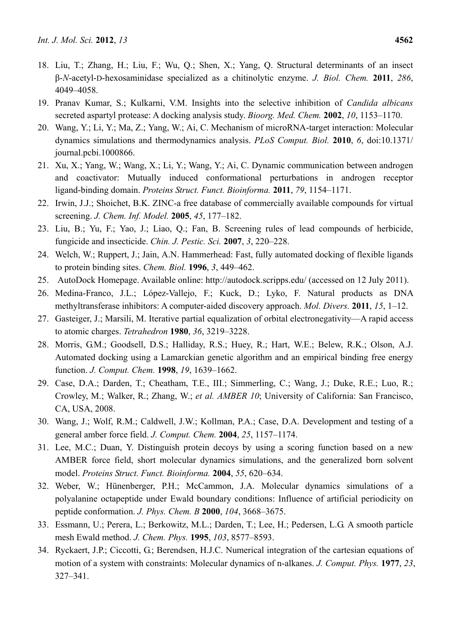- 18. Liu, T.; Zhang, H.; Liu, F.; Wu, Q.; Shen, X.; Yang, Q. Structural determinants of an insect β-*N*-acetyl-D-hexosaminidase specialized as a chitinolytic enzyme. *J. Biol. Chem.* **2011**, *286*, 4049–4058.
- 19. Pranav Kumar, S.; Kulkarni, V.M. Insights into the selective inhibition of *Candida albicans*  secreted aspartyl protease: A docking analysis study. *Bioorg. Med. Chem.* **2002**, *10*, 1153–1170.
- 20. Wang, Y.; Li, Y.; Ma, Z.; Yang, W.; Ai, C. Mechanism of microRNA-target interaction: Molecular dynamics simulations and thermodynamics analysis. *PLoS Comput. Biol.* **2010**, *6*, doi:10.1371/ journal.pcbi.1000866.
- 21. Xu, X.; Yang, W.; Wang, X.; Li, Y.; Wang, Y.; Ai, C. Dynamic communication between androgen and coactivator: Mutually induced conformational perturbations in androgen receptor ligand-binding domain. *Proteins Struct. Funct. Bioinforma.* **2011**, *79*, 1154–1171.
- 22. Irwin, J.J.; Shoichet, B.K. ZINC-a free database of commercially available compounds for virtual screening. *J. Chem. Inf. Model.* **2005**, *45*, 177–182.
- 23. Liu, B.; Yu, F.; Yao, J.; Liao, Q.; Fan, B. Screening rules of lead compounds of herbicide, fungicide and insecticide. *Chin. J. Pestic. Sci.* **2007**, *3*, 220–228.
- 24. Welch, W.; Ruppert, J.; Jain, A.N. Hammerhead: Fast, fully automated docking of flexible ligands to protein binding sites. *Chem. Biol.* **1996**, *3*, 449–462.
- 25. AutoDock Homepage. Available online: http://autodock.scripps.edu/ (accessed on 12 July 2011).
- 26. Medina-Franco, J.L.; López-Vallejo, F.; Kuck, D.; Lyko, F. Natural products as DNA methyltransferase inhibitors: A computer-aided discovery approach. *Mol. Divers.* **2011**, *15*, 1–12.
- 27. Gasteiger, J.; Marsili, M. Iterative partial equalization of orbital electronegativity—A rapid access to atomic charges. *Tetrahedron* **1980**, *36*, 3219–3228.
- 28. Morris, G.M.; Goodsell, D.S.; Halliday, R.S.; Huey, R.; Hart, W.E.; Belew, R.K.; Olson, A.J. Automated docking using a Lamarckian genetic algorithm and an empirical binding free energy function. *J. Comput. Chem.* **1998**, *19*, 1639–1662.
- 29. Case, D.A.; Darden, T.; Cheatham, T.E., III.; Simmerling, C.; Wang, J.; Duke, R.E.; Luo, R.; Crowley, M.; Walker, R.; Zhang, W.; *et al. AMBER 10*; University of California: San Francisco, CA, USA, 2008.
- 30. Wang, J.; Wolf, R.M.; Caldwell, J.W.; Kollman, P.A.; Case, D.A. Development and testing of a general amber force field. *J. Comput. Chem.* **2004**, *25*, 1157–1174.
- 31. Lee, M.C.; Duan, Y. Distinguish protein decoys by using a scoring function based on a new AMBER force field, short molecular dynamics simulations, and the generalized born solvent model. *Proteins Struct. Funct. Bioinforma.* **2004**, *55*, 620–634.
- 32. Weber, W.; Hünenberger, P.H.; McCammon, J.A. Molecular dynamics simulations of a polyalanine octapeptide under Ewald boundary conditions: Influence of artificial periodicity on peptide conformation. *J. Phys. Chem. B* **2000**, *104*, 3668–3675.
- 33. Essmann, U.; Perera, L.; Berkowitz, M.L.; Darden, T.; Lee, H.; Pedersen, L.G. A smooth particle mesh Ewald method. *J. Chem. Phys.* **1995**, *103*, 8577–8593.
- 34. Ryckaert, J.P.; Ciccotti, G.; Berendsen, H.J.C. Numerical integration of the cartesian equations of motion of a system with constraints: Molecular dynamics of n-alkanes. *J. Comput. Phys.* **1977**, *23*, 327–341.